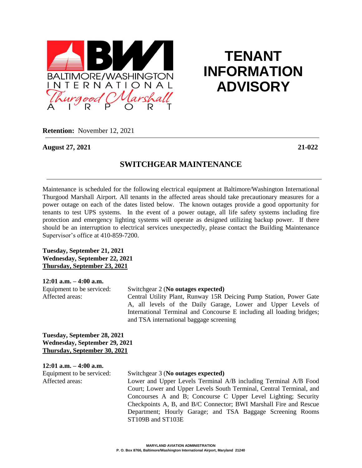

# **TENANT INFORMATION ADVISORY**

**Retention:** November 12, 2021

**August 27, 2021 21-022**

## **SWITCHGEAR MAINTENANCE**

Maintenance is scheduled for the following electrical equipment at Baltimore/Washington International Thurgood Marshall Airport. All tenants in the affected areas should take precautionary measures for a power outage on each of the dates listed below. The known outages provide a good opportunity for tenants to test UPS systems. In the event of a power outage, all life safety systems including fire protection and emergency lighting systems will operate as designed utilizing backup power. If there should be an interruption to electrical services unexpectedly, please contact the Building Maintenance Supervisor's office at 410-859-7200.

**Tuesday, September 21, 2021 Wednesday, September 22, 2021 Thursday, September 23, 2021**

### **12:01 a.m. – 4:00 a.m.**

Equipment to be serviced: Switchgear 2 (**No outages expected)** Affected areas: Central Utility Plant, Runway 15R Deicing Pump Station, Power Gate

A, all levels of the Daily Garage, Lower and Upper Levels of International Terminal and Concourse E including all loading bridges; and TSA international baggage screening

**Tuesday, September 28, 2021 Wednesday, September 29, 2021 Thursday, September 30, 2021**

**12:01 a.m. – 4:00 a.m.**

### Equipment to be serviced: Switchgear 3 (**No outages expected)**

Affected areas: Lower and Upper Levels Terminal A/B including Terminal A/B Food Court; Lower and Upper Levels South Terminal, Central Terminal, and Concourses A and B; Concourse C Upper Level Lighting; Security Checkpoints A, B, and B/C Connector; BWI Marshall Fire and Rescue Department; Hourly Garage; and TSA Baggage Screening Rooms ST109B and ST103E